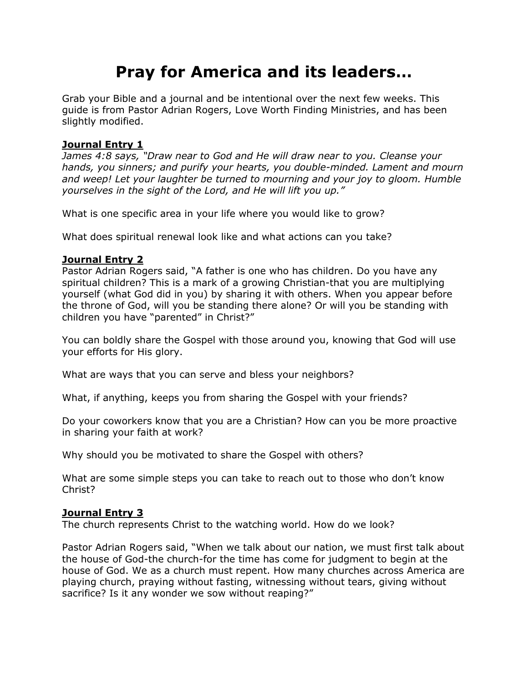# **Pray for America and its leaders…**

Grab your Bible and a journal and be intentional over the next few weeks. This guide is from Pastor Adrian Rogers, Love Worth Finding Ministries, and has been slightly modified.

# **Journal Entry 1**

*James 4:8 says, "Draw near to God and He will draw near to you. Cleanse your hands, you sinners; and purify your hearts, you double-minded. Lament and mourn and weep! Let your laughter be turned to mourning and your joy to gloom. Humble yourselves in the sight of the Lord, and He will lift you up."*

What is one specific area in your life where you would like to grow?

What does spiritual renewal look like and what actions can you take?

# **Journal Entry 2**

Pastor Adrian Rogers said, "A father is one who has children. Do you have any spiritual children? This is a mark of a growing Christian-that you are multiplying yourself (what God did in you) by sharing it with others. When you appear before the throne of God, will you be standing there alone? Or will you be standing with children you have "parented" in Christ?"

You can boldly share the Gospel with those around you, knowing that God will use your efforts for His glory.

What are ways that you can serve and bless your neighbors?

What, if anything, keeps you from sharing the Gospel with your friends?

Do your coworkers know that you are a Christian? How can you be more proactive in sharing your faith at work?

Why should you be motivated to share the Gospel with others?

What are some simple steps you can take to reach out to those who don't know Christ?

## **Journal Entry 3**

The church represents Christ to the watching world. How do we look?

Pastor Adrian Rogers said, "When we talk about our nation, we must first talk about the house of God-the church-for the time has come for judgment to begin at the house of God. We as a church must repent. How many churches across America are playing church, praying without fasting, witnessing without tears, giving without sacrifice? Is it any wonder we sow without reaping?"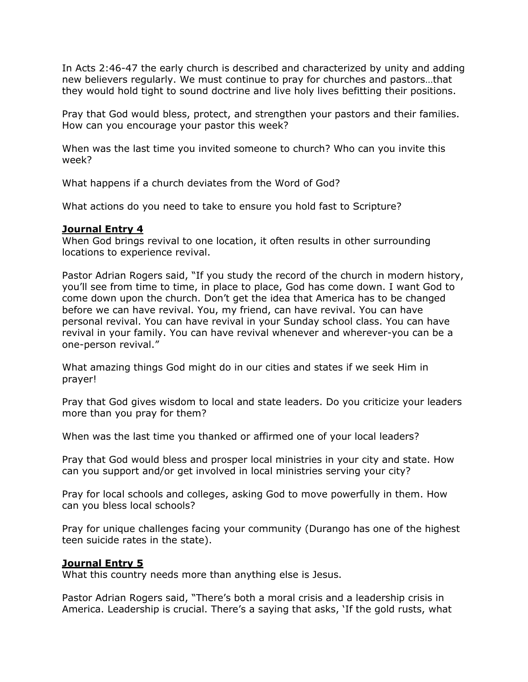In Acts 2:46-47 the early church is described and characterized by unity and adding new believers regularly. We must continue to pray for churches and pastors…that they would hold tight to sound doctrine and live holy lives befitting their positions.

Pray that God would bless, protect, and strengthen your pastors and their families. How can you encourage your pastor this week?

When was the last time you invited someone to church? Who can you invite this week?

What happens if a church deviates from the Word of God?

What actions do you need to take to ensure you hold fast to Scripture?

#### **Journal Entry 4**

When God brings revival to one location, it often results in other surrounding locations to experience revival.

Pastor Adrian Rogers said, "If you study the record of the church in modern history, you'll see from time to time, in place to place, God has come down. I want God to come down upon the church. Don't get the idea that America has to be changed before we can have revival. You, my friend, can have revival. You can have personal revival. You can have revival in your Sunday school class. You can have revival in your family. You can have revival whenever and wherever-you can be a one-person revival."

What amazing things God might do in our cities and states if we seek Him in prayer!

Pray that God gives wisdom to local and state leaders. Do you criticize your leaders more than you pray for them?

When was the last time you thanked or affirmed one of your local leaders?

Pray that God would bless and prosper local ministries in your city and state. How can you support and/or get involved in local ministries serving your city?

Pray for local schools and colleges, asking God to move powerfully in them. How can you bless local schools?

Pray for unique challenges facing your community (Durango has one of the highest teen suicide rates in the state).

## **Journal Entry 5**

What this country needs more than anything else is Jesus.

Pastor Adrian Rogers said, "There's both a moral crisis and a leadership crisis in America. Leadership is crucial. There's a saying that asks, 'If the gold rusts, what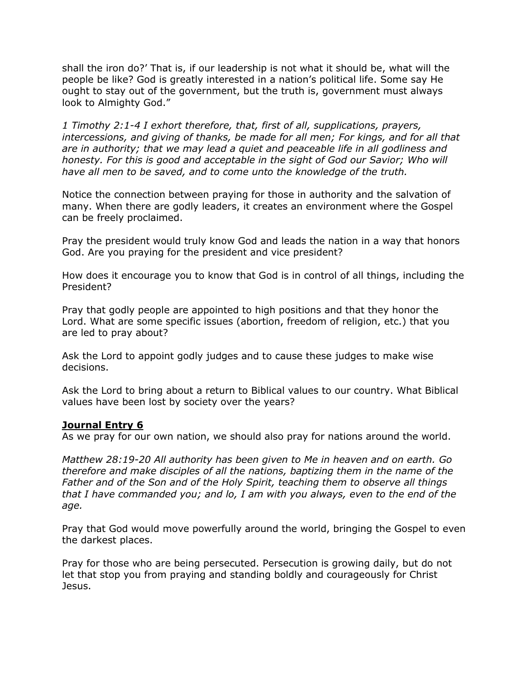shall the iron do?' That is, if our leadership is not what it should be, what will the people be like? God is greatly interested in a nation's political life. Some say He ought to stay out of the government, but the truth is, government must always look to Almighty God."

*1 Timothy 2:1-4 I exhort therefore, that, first of all, supplications, prayers, intercessions, and giving of thanks, be made for all men; For kings, and for all that are in authority; that we may lead a quiet and peaceable life in all godliness and honesty. For this is good and acceptable in the sight of God our Savior; Who will have all men to be saved, and to come unto the knowledge of the truth.*

Notice the connection between praying for those in authority and the salvation of many. When there are godly leaders, it creates an environment where the Gospel can be freely proclaimed.

Pray the president would truly know God and leads the nation in a way that honors God. Are you praying for the president and vice president?

How does it encourage you to know that God is in control of all things, including the President?

Pray that godly people are appointed to high positions and that they honor the Lord. What are some specific issues (abortion, freedom of religion, etc.) that you are led to pray about?

Ask the Lord to appoint godly judges and to cause these judges to make wise decisions.

Ask the Lord to bring about a return to Biblical values to our country. What Biblical values have been lost by society over the years?

#### **Journal Entry 6**

As we pray for our own nation, we should also pray for nations around the world.

*Matthew 28:19-20 All authority has been given to Me in heaven and on earth. Go therefore and make disciples of all the nations, baptizing them in the name of the Father and of the Son and of the Holy Spirit, teaching them to observe all things that I have commanded you; and lo, I am with you always, even to the end of the age.*

Pray that God would move powerfully around the world, bringing the Gospel to even the darkest places.

Pray for those who are being persecuted. Persecution is growing daily, but do not let that stop you from praying and standing boldly and courageously for Christ Jesus.